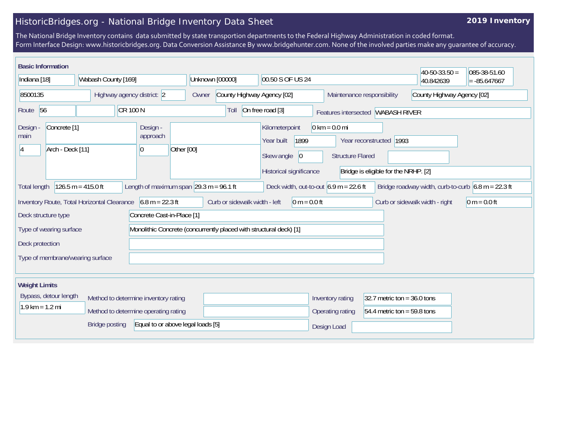## HistoricBridges.org - National Bridge Inventory Data Sheet

## **2019 Inventory**

The National Bridge Inventory contains data submitted by state transportion departments to the Federal Highway Administration in coded format. Form Interface Design: www.historicbridges.org. Data Conversion Assistance By www.bridgehunter.com. None of the involved parties make any guarantee of accuracy.

| <b>Basic Information</b>                                                                                                                                                                                                                      |                                      |                                                      |                                                          |                                                                                      |                                                            |                                                                 | $ 40-50-33.50 $ | 085-38-51.60 |
|-----------------------------------------------------------------------------------------------------------------------------------------------------------------------------------------------------------------------------------------------|--------------------------------------|------------------------------------------------------|----------------------------------------------------------|--------------------------------------------------------------------------------------|------------------------------------------------------------|-----------------------------------------------------------------|-----------------|--------------|
| Indiana [18]<br>Wabash County [169]                                                                                                                                                                                                           |                                      | Unknown [00000]                                      | 00.50 S OF US 24                                         |                                                                                      |                                                            | 40.842639                                                       | $= -85.647667$  |              |
| 8500135<br>Highway agency district: 2                                                                                                                                                                                                         |                                      | Owner                                                | County Highway Agency [02]<br>Maintenance responsibility |                                                                                      |                                                            | County Highway Agency [02]                                      |                 |              |
| CR 100 N<br>Route 56                                                                                                                                                                                                                          |                                      |                                                      | Toll                                                     | On free road [3]                                                                     |                                                            | Features intersected WABASH RIVER                               |                 |              |
| Concrete <sup>[1]</sup><br>Design -<br>main<br>Arch - Deck [11]<br>14                                                                                                                                                                         |                                      | Design -<br>approach<br>Other [00]<br>$\overline{0}$ |                                                          | Kilometerpoint<br>1899<br>Year built<br>Skew angle<br> 0 <br>Historical significance | $0 \text{ km} = 0.0 \text{ mi}$<br><b>Structure Flared</b> | Year reconstructed 1993<br>Bridge is eligible for the NRHP. [2] |                 |              |
| Length of maximum span $ 29.3 \text{ m} = 96.1 \text{ ft}$<br>Bridge roadway width, curb-to-curb $6.8 \text{ m} = 22.3 \text{ ft}$<br>$126.5 m = 415.0 ft$<br>Deck width, out-to-out $6.9 \text{ m} = 22.6 \text{ ft}$<br><b>Total length</b> |                                      |                                                      |                                                          |                                                                                      |                                                            |                                                                 |                 |              |
| Inventory Route, Total Horizontal Clearance<br>$6.8 m = 22.3 ft$<br>Curb or sidewalk width - left<br>$0 m = 0.0 ft$<br>Curb or sidewalk width - right<br>$0 m = 0.0 ft$                                                                       |                                      |                                                      |                                                          |                                                                                      |                                                            |                                                                 |                 |              |
| Deck structure type<br>Concrete Cast-in-Place [1]                                                                                                                                                                                             |                                      |                                                      |                                                          |                                                                                      |                                                            |                                                                 |                 |              |
| Monolithic Concrete (concurrently placed with structural deck) [1]<br>Type of wearing surface                                                                                                                                                 |                                      |                                                      |                                                          |                                                                                      |                                                            |                                                                 |                 |              |
| Deck protection                                                                                                                                                                                                                               |                                      |                                                      |                                                          |                                                                                      |                                                            |                                                                 |                 |              |
| Type of membrane/wearing surface                                                                                                                                                                                                              |                                      |                                                      |                                                          |                                                                                      |                                                            |                                                                 |                 |              |
| <b>Weight Limits</b>                                                                                                                                                                                                                          |                                      |                                                      |                                                          |                                                                                      |                                                            |                                                                 |                 |              |
| Bypass, detour length                                                                                                                                                                                                                         | Method to determine inventory rating |                                                      |                                                          |                                                                                      | Inventory rating                                           | 32.7 metric ton = $36.0$ tons                                   |                 |              |
| $1.9$ km = 1.2 mi                                                                                                                                                                                                                             | Method to determine operating rating |                                                      |                                                          |                                                                                      | Operating rating                                           | 54.4 metric ton = 59.8 tons                                     |                 |              |
|                                                                                                                                                                                                                                               | <b>Bridge posting</b>                | Equal to or above legal loads [5]                    |                                                          |                                                                                      | Design Load                                                |                                                                 |                 |              |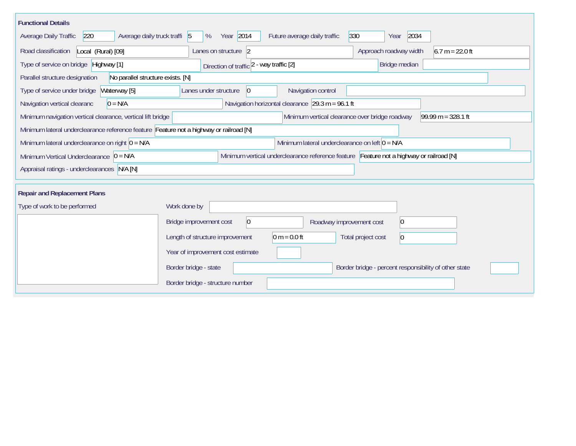| <b>Functional Details</b>                                                                                                             |                                                                      |                                                       |  |  |  |  |  |  |  |
|---------------------------------------------------------------------------------------------------------------------------------------|----------------------------------------------------------------------|-------------------------------------------------------|--|--|--|--|--|--|--|
| Average daily truck traffi 5<br><b>Average Daily Traffic</b><br>220                                                                   | Year 2014<br>Future average daily traffic<br>%                       | 2034<br>330<br>Year                                   |  |  |  |  |  |  |  |
| Road classification<br>Local (Rural) [09]                                                                                             | Lanes on structure 2                                                 | $6.7 m = 22.0 ft$<br>Approach roadway width           |  |  |  |  |  |  |  |
| Type of service on bridge Highway [1]                                                                                                 | Direction of traffic 2 - way traffic [2]                             | Bridge median                                         |  |  |  |  |  |  |  |
| No parallel structure exists. [N]<br>Parallel structure designation                                                                   |                                                                      |                                                       |  |  |  |  |  |  |  |
| Type of service under bridge<br>Waterway [5]                                                                                          | Navigation control<br>Lanes under structure<br>$ 0\rangle$           |                                                       |  |  |  |  |  |  |  |
| $0 = N/A$<br>Navigation vertical clearanc                                                                                             | Navigation horizontal clearance $ 29.3 \text{ m} = 96.1 \text{ ft} $ |                                                       |  |  |  |  |  |  |  |
| Minimum navigation vertical clearance, vertical lift bridge                                                                           | Minimum vertical clearance over bridge roadway                       | $99.99 m = 328.1 ft$                                  |  |  |  |  |  |  |  |
| Minimum lateral underclearance reference feature Feature not a highway or railroad [N]                                                |                                                                      |                                                       |  |  |  |  |  |  |  |
| Minimum lateral underclearance on right $0 = N/A$                                                                                     | Minimum lateral underclearance on left $0 = N/A$                     |                                                       |  |  |  |  |  |  |  |
| Minimum vertical underclearance reference feature Feature not a highway or railroad [N]<br>Minimum Vertical Underclearance $ 0 = N/A$ |                                                                      |                                                       |  |  |  |  |  |  |  |
| Appraisal ratings - underclearances N/A [N]                                                                                           |                                                                      |                                                       |  |  |  |  |  |  |  |
|                                                                                                                                       |                                                                      |                                                       |  |  |  |  |  |  |  |
| <b>Repair and Replacement Plans</b>                                                                                                   |                                                                      |                                                       |  |  |  |  |  |  |  |
| Type of work to be performed                                                                                                          | Work done by                                                         |                                                       |  |  |  |  |  |  |  |
|                                                                                                                                       | Bridge improvement cost<br> 0 <br>Roadway improvement cost           | $ 0\rangle$                                           |  |  |  |  |  |  |  |
|                                                                                                                                       | $0 m = 0.0 ft$<br>Length of structure improvement                    | Total project cost<br>$\overline{0}$                  |  |  |  |  |  |  |  |
|                                                                                                                                       | Year of improvement cost estimate                                    |                                                       |  |  |  |  |  |  |  |
|                                                                                                                                       | Border bridge - state                                                | Border bridge - percent responsibility of other state |  |  |  |  |  |  |  |
|                                                                                                                                       | Border bridge - structure number                                     |                                                       |  |  |  |  |  |  |  |